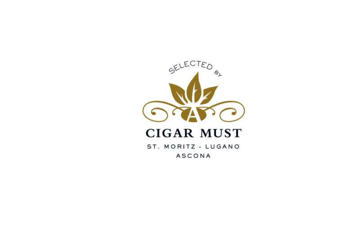

# **CIGAR MUST**

ST. MORITZ - LUGANO **ASCONA**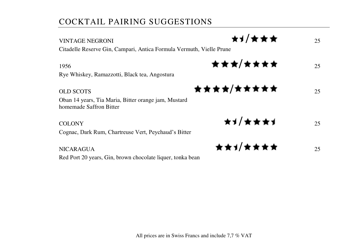# COCKTAIL PAIRING SUGGESTIONS

| <b>VINTAGE NEGRONI</b>                                                          | ★┪/★★★            | 25 |
|---------------------------------------------------------------------------------|-------------------|----|
| Citadelle Reserve Gin, Campari, Antica Formula Vermuth, Vielle Prune            |                   |    |
| 1956                                                                            | ★★★/★★★★          | 25 |
| Rye Whiskey, Ramazzotti, Black tea, Angostura                                   |                   |    |
| <b>OLD SCOTS</b>                                                                | <b>★★★★/★★★★★</b> | 25 |
| Oban 14 years, Tia Maria, Bitter orange jam, Mustard<br>homemade Saffron Bitter |                   |    |
| <b>COLONY</b>                                                                   | ★┪│★★★┪           | 25 |
| Cognac, Dark Rum, Chartreuse Vert, Peychaud's Bitter                            |                   |    |
| <b>NICARAGUA</b>                                                                | ★★1/★★★★          | 25 |
| Red Port 20 years, Gin, brown chocolate liquer, tonka bean                      |                   |    |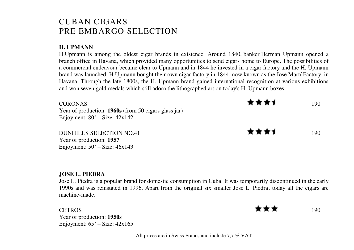## CUBAN CIGARS PRE EMBARGO SELECTION

### **H. UPMANN**

H.Upmann is among the oldest cigar brands in existence. Around 1840, [banker](https://en.wikipedia.org/wiki/Banker) Herman Upmann opened a branch office i[n Havana,](https://en.wikipedia.org/wiki/Havana) which provided many opportunities to send cigars home to Europe. The possibilities of a commercial endeavour became clear to Upmann and in 1844 he invested in a cigar factory and the H. Upmann brand was launched. H.Upmann bought their own cigar factory in 1844, now known as the José Martí Factory, in Havana. Through the late 1800s, the H. Upmann brand gained international recognition at various exhibitions and won seven gold medals which still adorn the lithographed art on today's H. Upmann boxes.

| CORONAS<br>Year of production: 1960s (from 50 cigars glass jar)<br>Enjoyment: $80'$ – Size: $42x142$ | ★★★★<br>190 |     |
|------------------------------------------------------------------------------------------------------|-------------|-----|
| <b>DUNHILLS SELECTION NO.41</b><br>Year of production: 1957                                          | ★★★★        | 190 |

### **JOSE L. PIEDRA**

Jose L. Piedra is a popular brand for domestic consumption in Cuba. It was temporarily discontinued in the early 1990s and was reinstated in 1996. Apart from the original six smaller Jose L. Piedra, today all the cigars are machine-made.

CETROS 190 Year of production: **1950s** Enjoyment: 65' – Size: 42x165

Enjoyment:  $50'$  – Size:  $46x143$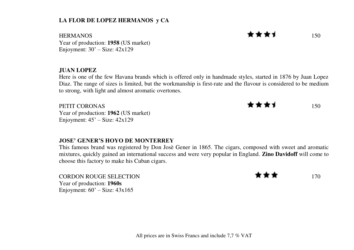### **LA FLOR DE LOPEZ HERMANOS y CA**

HERMANOS 150 Year of production: **1958** (US market) Enjoyment:  $30'$  – Size:  $42x129$ 

#### **JUAN LOPEZ**

Here is one of the few Havana brands which is offered only in handmade styles, started in 1876 by Juan Lopez Diaz. The range of sizes is limited, but the workmanship is first-rate and the flavour is considered to be medium to strong, with light and almost aromatic overtones.

Year of production: **1962** (US market) Enjoyment: 45' – Size: 42x129

#### **JOSE' GENER'S HOYO DE MONTERREY**

This famous brand was registered by Don Josè Gener in 1865. The cigars, composed with sweet and aromatic mixtures, quickly gained an international success and were very popular in England. **Zino Davidoff** will come to choose this factory to make his Cuban cigars.

CORDON ROUGE SELECTION 170 Year of production: **1960s** Enjoyment:  $60'$  – Size:  $43x165$ 

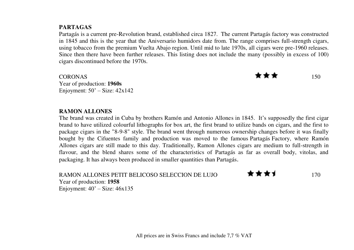### **PARTAGAS**

Partagás is a current pre-Revolution brand, established circa 1827. The current Partagás factory was constructed in 1845 and this is the year that the Aniversario humidors date from. The range comprises full-strength cigars, using tobacco from the premium Vuelta Abajo region. Until mid to late 1970s, all cigars were pre-1960 releases. Since then there have been further releases. This listing does not include the many (possibly in excess of 100) cigars discontinued before the 1970s.

CORONAS 150 Year of production: **1960s** Enjoyment:  $50'$  – Size:  $42x142$ 

#### **RAMON ALLONES**

The brand was created in Cuba by brothers Ramón and Antonio Allones in 1845. It's supposedly the first cigar brand to have utilized colourful [lithographs](https://en.wikipedia.org/wiki/Lithograph) for box art, the first brand to utilize bands on cigars, and the first to package cigars in the "8-9-8" style. The brand went through numerous ownership changes before it was finally bought by the Cifuentes family and production was moved to the famous [Partagás](https://en.wikipedia.org/wiki/Partagas_(cigar_brand)) Factory, where Ramón Allones cigars are still made to this day. Traditionally, Ramon Allones cigars are medium to full-strength in flavour, and the blend shares some of the characteristics of Partagás as far as overall body, vitolas, and packaging. It has always been produced in smaller quantities than Partagás.

RAMON ALLONES PETIT BELICOSO SELECCION DE LUJO  $\star \star \star \star$ Year of production: **1958** Enjoyment: 40' – Size: 46x135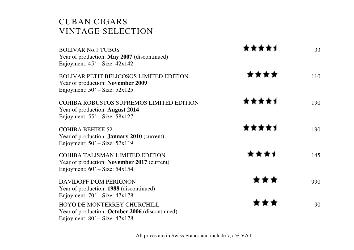# CUBAN CIGARS VINTAGE SELECTION

| <b>BOLIVAR No.1 TUBOS</b><br>Year of production: May 2007 (discontinued)<br>Enjoyment: $45'$ – Size: $42x142$       | ***** | 33  |
|---------------------------------------------------------------------------------------------------------------------|-------|-----|
| BOLIVAR PETIT BELICOSOS LIMITED EDITION<br>Year of production: November 2009<br>Enjoyment: $50'$ – Size: $52x125$   | ****  | 110 |
| COHIBA ROBUSTOS SUPREMOS LIMITED EDITION<br>Year of production: August 2014<br>Enjoyment: $55'$ – Size: $58x127$    | ★★★★↑ | 190 |
| <b>COHIBA BEHIKE 52</b><br>Year of production: <b>January 2010</b> (current)<br>Enjoyment: $50'$ – Size: $52x119$   | ***** | 190 |
| COHIBA TALISMAN LIMITED EDITION<br>Year of production: November 2017 (current)<br>Enjoyment: $60'$ – Size: $54x154$ | ****  | 145 |
| DAVIDOFF DOM PERIGNON<br>Year of production: 1988 (discontinued)<br>Enjoyment: $70'$ – Size: $47x178$               | ***   | 990 |
| HOYO DE MONTERREY CHURCHILL<br>Year of production: October 2006 (discontinued)<br>Enjoyment: $80'$ – Size: $47x178$ | ***   | 90  |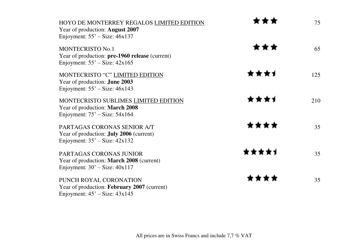| HOYO DE MONTERREY REGALOS LIMITED EDITION<br>Year of production: August 2007<br>Enjoyment: $55'$ – Size: $46x137$  |       | 75  |
|--------------------------------------------------------------------------------------------------------------------|-------|-----|
| <b>MONTECRISTO No.1</b><br>Year of production: pre-1960 release (current)<br>Enjoyment: $55'$ – Size: $42x165$     | ***   | 65  |
| MONTECRISTO "C" LIMITED EDITION<br>Year of production: June 2003<br>Enjoyment: $55'$ – Size: $46x143$              | ****  | 125 |
| MONTECRISTO SUBLIMES LIMITED EDITION<br>Year of production: March 2008<br>Enjoyment: $75'$ – Size: $54x164$        | ****  | 210 |
| PARTAGAS CORONAS SENIOR A/T<br>Year of production: <b>July 2006</b> (current)<br>Enjoyment: $35'$ – Size: $42x132$ | ****  | 35  |
| <b>PARTAGAS CORONAS JUNIOR</b><br>Year of production: March 2008 (current)<br>Enjoyment: $30'$ – Size: $40x117$    | ***** | 35  |
| PUNCH ROYAL CORONATION<br>Year of production: February 2007 (current)<br>Enjoyment: $45^\circ$ – Size: $43x145$    | ****  | 35  |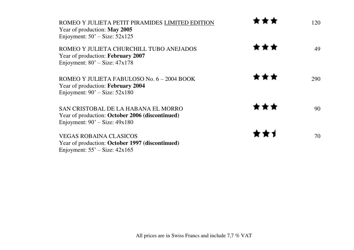| ROMEO Y JULIETA PETIT PIRAMIDES LIMITED EDITION<br>Year of production: May 2005<br>Enjoyment: $50'$ – Size: $52x125$        |     | 120 |
|-----------------------------------------------------------------------------------------------------------------------------|-----|-----|
| ROMEO Y JULIETA CHURCHILL TUBO ANEJADOS<br>Year of production: February 2007<br>Enjoyment: $80'$ – Size: $47x178$           | *** | 49  |
| ROMEO Y JULIETA FABULOSO No. 6 – 2004 BOOK<br>Year of production: February 2004<br>Enjoyment: $90'$ – Size: $52x180$        | *** | 290 |
| SAN CRISTOBAL DE LA HABANA EL MORRO<br>Year of production: October 2006 (discontinued)<br>Enjoyment: $90'$ – Size: $49x180$ | *** | 90  |
| <b>VEGAS ROBAINA CLASICOS</b><br>Year of production: October 1997 (discontinued)<br>Enjoyment: $55'$ – Size: $42x165$       | **1 | 70  |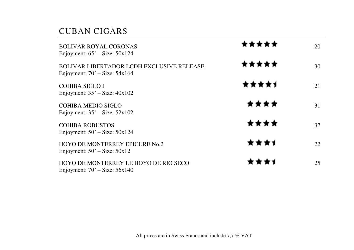# CUBAN CIGARS

| <b>BOLIVAR ROYAL CORONAS</b><br>Enjoyment: $65'$ – Size: $50x124$              | ***** | 20 |
|--------------------------------------------------------------------------------|-------|----|
| BOLIVAR LIBERTADOR LCDH EXCLUSIVE RELEASE<br>Enjoyment: $70'$ – Size: $54x164$ | ★★★★★ | 30 |
| <b>COHIBA SIGLO I</b><br>Enjoyment: $35'$ – Size: $40x102$                     | ★★★★↑ | 21 |
| COHIBA MEDIO SIGLO<br>Enjoyment: $35'$ – Size: $52x102$                        | ****  | 31 |
| <b>COHIBA ROBUSTOS</b><br>Enjoyment: $50'$ – Size: $50x124$                    | ****  | 37 |
| <b>HOYO DE MONTERREY EPICURE No.2</b><br>Enjoyment: $50'$ – Size: $50x12$      | ****  | 22 |
| HOYO DE MONTERREY LE HOYO DE RIO SECO<br>Enjoyment: $70'$ – Size: $56x140$     | ****  | 25 |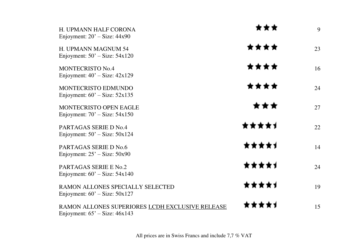| H. UPMANN HALF CORONA<br>Enjoyment: $20'$ – Size: $44x90$                            | ***   | 9  |
|--------------------------------------------------------------------------------------|-------|----|
| H. UPMANN MAGNUM 54<br>Enjoyment: $50'$ – Size: $54x120$                             | ****  | 23 |
| <b>MONTECRISTO No.4</b><br>Enjoyment: $40'$ – Size: $42x129$                         | ****  | 16 |
| <b>MONTECRISTO EDMUNDO</b><br>Enjoyment: $60'$ – Size: $52x135$                      | ****  | 24 |
| <b>MONTECRISTO OPEN EAGLE</b><br>Enjoyment: $70'$ – Size: $54x150$                   | ★★★   | 27 |
| PARTAGAS SERIE D No.4<br>Enjoyment: $50'$ – Size: $50x124$                           | ***** | 22 |
| PARTAGAS SERIE D No.6<br>Enjoyment: $25'$ – Size: $50x90$                            | ★★★★↑ | 14 |
| PARTAGAS SERIE E No.2<br>Enjoyment: $60'$ – Size: $54x140$                           | ★★★★↑ | 24 |
| RAMON ALLONES SPECIALLY SELECTED<br>Enjoyment: $60'$ – Size: $50x127$                | ***** | 19 |
| RAMON ALLONES SUPERIORES LCDH EXCLUSIVE RELEASE<br>Enjoyment: $65'$ – Size: $46x143$ | ***** | 15 |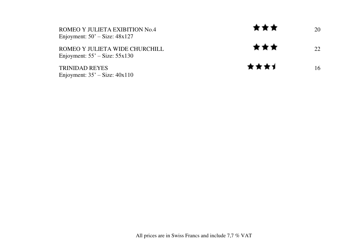| ROMEO Y JULIETA EXIBITION No.4<br>Enjoyment: $50'$ – Size: $48x127$ | ★★★  | 20 |
|---------------------------------------------------------------------|------|----|
| ROMEO Y IULIETA WIDE CHURCHILL<br>Enjoyment: $55'$ – Size: $55x130$ | ★★★  | 22 |
| <b>TRINIDAD REYES</b><br>Enjoyment: $35'$ – Size: $40x110$          | ★★★★ | 16 |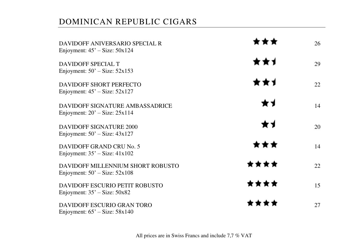# DOMINICAN REPUBLIC CIGARS

| DAVIDOFF ANIVERSARIO SPECIAL R<br>Enjoyment: $45'$ – Size: $50x124$    |      | 26 |
|------------------------------------------------------------------------|------|----|
| DAVIDOFF SPECIAL T<br>Enjoyment: $50'$ – Size: $52x153$                | **1  | 29 |
| DAVIDOFF SHORT PERFECTO                                                | **1  | 22 |
| Enjoyment: $45'$ – Size: $52x127$<br>DAVIDOFF SIGNATURE AMBASSADRICE   | ★┪   | 14 |
| Enjoyment: $20'$ – Size: $25x114$<br>DAVIDOFF SIGNATURE 2000           | ★┪   | 20 |
| Enjoyment: $50'$ – Size: $43x127$<br>DAVIDOFF GRAND CRU No. 5          | ***  | 14 |
| Enjoyment: $35'$ – Size: $41x102$<br>DAVIDOFF MILLENNIUM SHORT ROBUSTO | **** | 22 |
| Enjoyment: $50'$ – Size: $52x108$<br>DAVIDOFF ESCURIO PETIT ROBUSTO    | **** | 15 |
| Enjoyment: $35'$ – Size: $50x82$<br>DAVIDOFF ESCURIO GRAN TORO         | **** | 27 |
| Enjoyment: $65'$ – Size: $58x140$                                      |      |    |